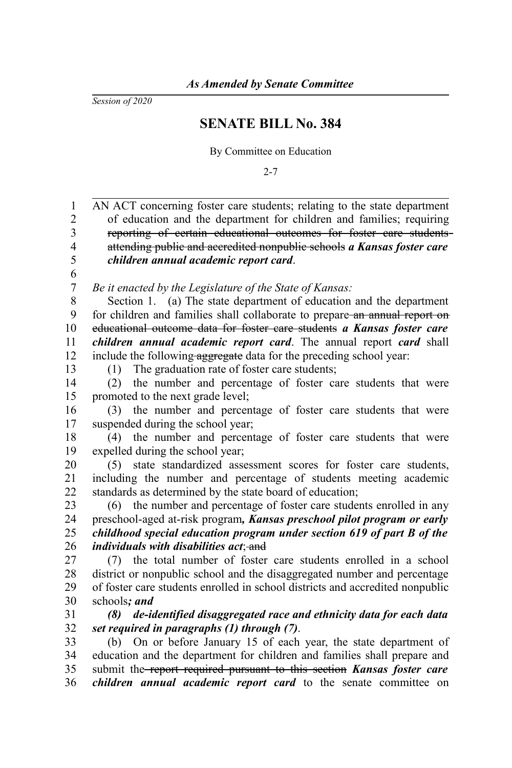*Session of 2020*

## **SENATE BILL No. 384**

By Committee on Education

 $2 - 7$ 

AN ACT concerning foster care students; relating to the state department of education and the department for children and families; requiring reporting of certain educational outcomes for foster care students attending public and accredited nonpublic schools *a Kansas foster care children annual academic report card*. *Be it enacted by the Legislature of the State of Kansas:* Section 1. (a) The state department of education and the department for children and families shall collaborate to prepare-an annual report on educational outcome data for foster care students *a Kansas foster care children annual academic report card*. The annual report *card* shall include the following aggregate data for the preceding school year: (1) The graduation rate of foster care students; (2) the number and percentage of foster care students that were promoted to the next grade level; (3) the number and percentage of foster care students that were suspended during the school year; (4) the number and percentage of foster care students that were expelled during the school year; (5) state standardized assessment scores for foster care students, including the number and percentage of students meeting academic standards as determined by the state board of education; (6) the number and percentage of foster care students enrolled in any preschool-aged at-risk program*, Kansas preschool pilot program or early childhood special education program under section 619 of part B of the individuals with disabilities act* and (7) the total number of foster care students enrolled in a school district or nonpublic school and the disaggregated number and percentage of foster care students enrolled in school districts and accredited nonpublic schools*; and (8) de-identified disaggregated race and ethnicity data for each data set required in paragraphs (1) through (7)*. (b) On or before January 15 of each year, the state department of education and the department for children and families shall prepare and submit the report required pursuant to this section *Kansas foster care children annual academic report card* to the senate committee on 1 2 3 4 5 6 7 8 9 10 11 12 13 14 15 16 17 18 19 20 21 22 23 24 25 26 27 28 29 30 31 32 33 34 35 36